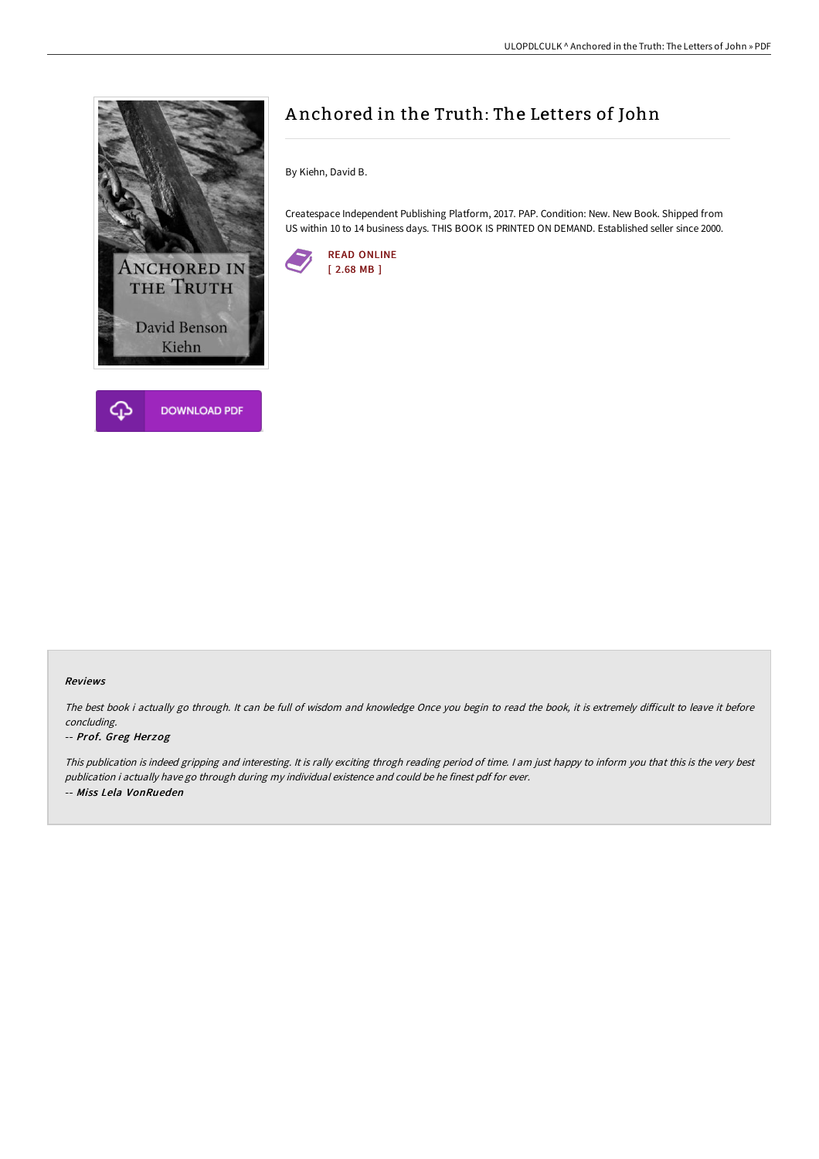

## A nchored in the Truth: The Letters of John

By Kiehn, David B.

Createspace Independent Publishing Platform, 2017. PAP. Condition: New. New Book. Shipped from US within 10 to 14 business days. THIS BOOK IS PRINTED ON DEMAND. Established seller since 2000.



## Reviews

The best book i actually go through. It can be full of wisdom and knowledge Once you begin to read the book, it is extremely difficult to leave it before concluding.

## -- Prof. Greg Herzog

This publication is indeed gripping and interesting. It is rally exciting throgh reading period of time. <sup>I</sup> am just happy to inform you that this is the very best publication i actually have go through during my individual existence and could be he finest pdf for ever. -- Miss Lela VonRueden